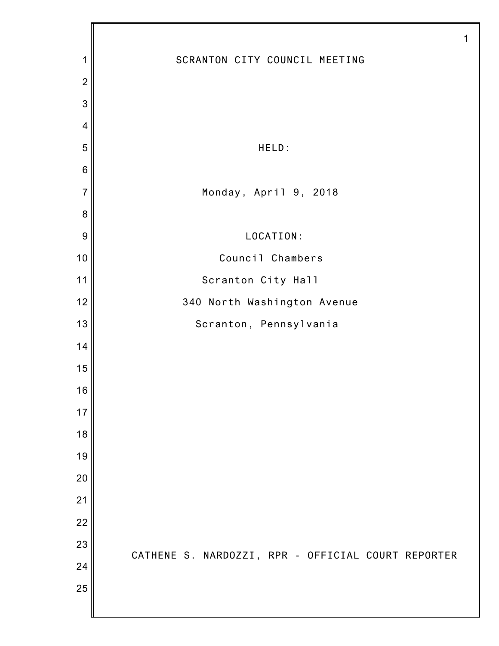|                | 1                                                  |
|----------------|----------------------------------------------------|
| 1              | SCRANTON CITY COUNCIL MEETING                      |
| $\overline{2}$ |                                                    |
| 3              |                                                    |
| $\overline{4}$ |                                                    |
| 5              | HELD:                                              |
| $\,$ 6 $\,$    |                                                    |
| $\overline{7}$ | Monday, April 9, 2018                              |
| 8              |                                                    |
| 9              | LOCATION:                                          |
| 10             | Council Chambers                                   |
| 11             | Scranton City Hall                                 |
| 12             | 340 North Washington Avenue                        |
| 13             | Scranton, Pennsylvania                             |
| 14             |                                                    |
| 15             |                                                    |
| 16             |                                                    |
| 17             |                                                    |
| 18             |                                                    |
| 19             |                                                    |
| 20             |                                                    |
| 21             |                                                    |
| 22             |                                                    |
| 23             | CATHENE S. NARDOZZI, RPR - OFFICIAL COURT REPORTER |
| 24             |                                                    |
| 25             |                                                    |
|                |                                                    |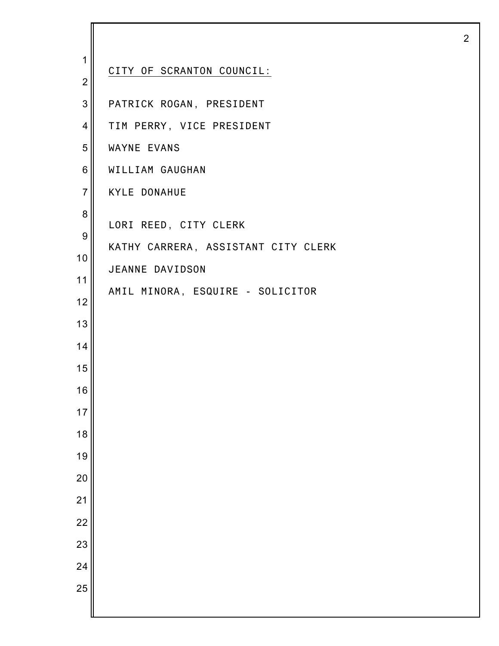| 1                | CITY OF SCRANTON COUNCIL:           |
|------------------|-------------------------------------|
| $\overline{2}$   |                                     |
| $\overline{3}$   | PATRICK ROGAN, PRESIDENT            |
| $\overline{4}$   | TIM PERRY, VICE PRESIDENT           |
| 5                | WAYNE EVANS                         |
| 6                | WILLIAM GAUGHAN                     |
| $\overline{7}$   | <b>KYLE DONAHUE</b>                 |
| 8                |                                     |
| $\boldsymbol{9}$ | LORI REED, CITY CLERK               |
| 10               | KATHY CARRERA, ASSISTANT CITY CLERK |
| 11               | JEANNE DAVIDSON                     |
| 12               | AMIL MINORA, ESQUIRE - SOLICITOR    |
| 13               |                                     |
| 14               |                                     |
| 15               |                                     |
| 16               |                                     |
| 17               |                                     |
| 18               |                                     |
| 19               |                                     |
| 20               |                                     |
| 21               |                                     |
| 22               |                                     |
| 23               |                                     |
| 24               |                                     |
|                  |                                     |
| 25               |                                     |
|                  |                                     |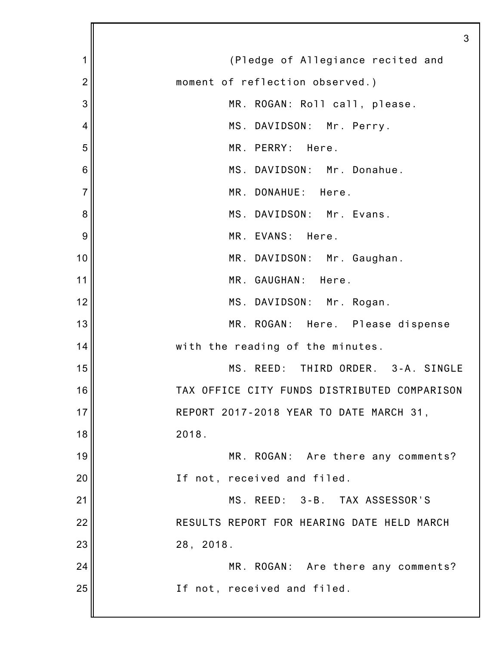|                | 3                                            |
|----------------|----------------------------------------------|
| 1              | (Pledge of Allegiance recited and            |
| $\overline{2}$ | moment of reflection observed.)              |
| 3              | MR. ROGAN: Roll call, please.                |
| 4              | MS. DAVIDSON: Mr. Perry.                     |
| 5              | MR. PERRY: Here.                             |
| 6              | MS. DAVIDSON: Mr. Donahue.                   |
| $\overline{7}$ | MR. DONAHUE: Here.                           |
| 8              | MS. DAVIDSON: Mr. Evans.                     |
| 9              | MR. EVANS: Here.                             |
| 10             | MR. DAVIDSON: Mr. Gaughan.                   |
| 11             | MR. GAUGHAN: Here.                           |
| 12             | MS. DAVIDSON: Mr. Rogan.                     |
| 13             | MR. ROGAN: Here. Please dispense             |
| 14             | with the reading of the minutes.             |
| 15             | MS. REED: THIRD ORDER. 3-A. SINGLE           |
| 16             | TAX OFFICE CITY FUNDS DISTRIBUTED COMPARISON |
| 17             | REPORT 2017-2018 YEAR TO DATE MARCH 31,      |
| 18             | 2018.                                        |
| 19             | MR. ROGAN: Are there any comments?           |
| 20             | If not, received and filed.                  |
| 21             | MS. REED: 3-B. TAX ASSESSOR'S                |
| 22             | RESULTS REPORT FOR HEARING DATE HELD MARCH   |
| 23             | 28, 2018.                                    |
| 24             | MR. ROGAN: Are there any comments?           |
| 25             | If not, received and filed.                  |
|                |                                              |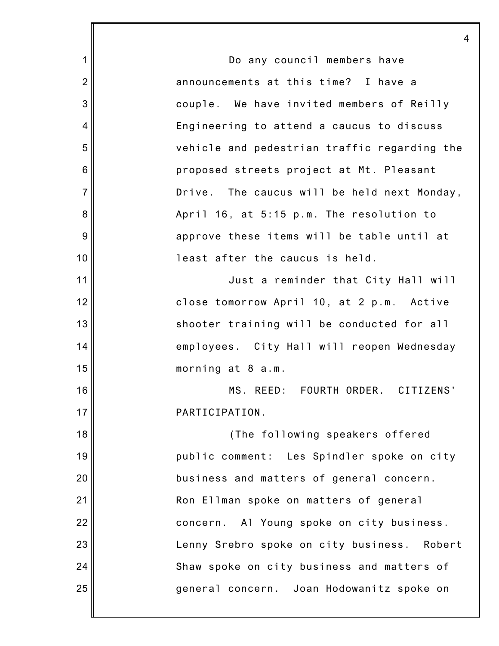1 2 3 4 5 6 7 8 9 10 11 12 13 14 15 16 17 18 19 20 21 22 23 24 25 4 Do any council members have announcements at this time? I have a couple. We have invited members of Reilly Engineering to attend a caucus to discuss vehicle and pedestrian traffic regarding the proposed streets project at Mt. Pleasant Drive. The caucus will be held next Monday, April 16, at 5:15 p.m. The resolution to approve these items will be table until at least after the caucus is held. Just a reminder that City Hall will close tomorrow April 10, at 2 p.m. Active shooter training will be conducted for all employees. City Hall will reopen Wednesday morning at 8 a.m. MS. REED: FOURTH ORDER. CITIZENS' PARTICIPATION. (The following speakers offered public comment: Les Spindler spoke on city business and matters of general concern. Ron Ellman spoke on matters of general concern. Al Young spoke on city business. Lenny Srebro spoke on city business. Robert Shaw spoke on city business and matters of general concern. Joan Hodowanitz spoke on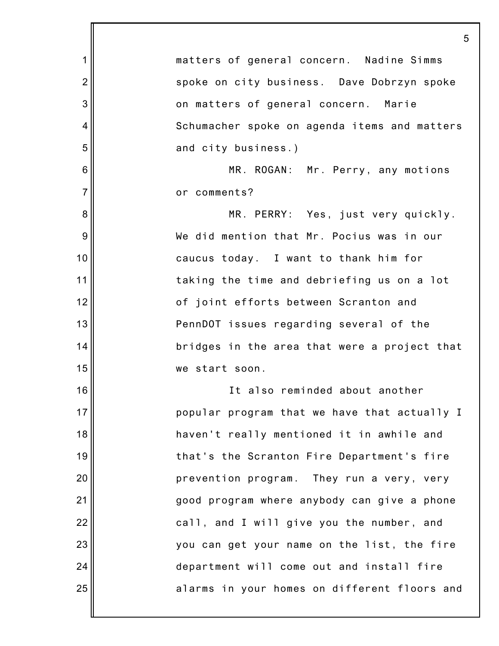1 2 3 4 5 6 7 8 9 10 11 12 13 14 15 16 17 18 19 20 21 22 23 24 25 5 matters of general concern. Nadine Simms spoke on city business. Dave Dobrzyn spoke on matters of general concern. Marie Schumacher spoke on agenda items and matters and city business.) MR. ROGAN: Mr. Perry, any motions or comments? MR. PERRY: Yes, just very quickly. We did mention that Mr. Pocius was in our caucus today. I want to thank him for taking the time and debriefing us on a lot of joint efforts between Scranton and PennDOT issues regarding several of the bridges in the area that were a project that we start soon. It also reminded about another popular program that we have that actually I haven't really mentioned it in awhile and that's the Scranton Fire Department's fire prevention program. They run a very, very good program where anybody can give a phone call, and I will give you the number, and you can get your name on the list, the fire department will come out and install fire alarms in your homes on different floors and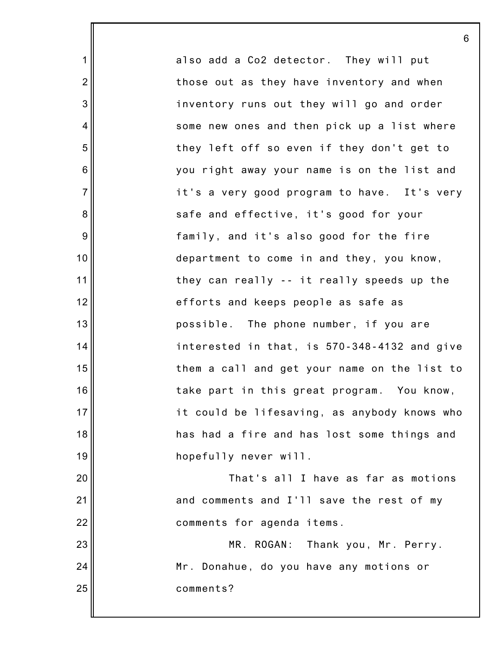also add a Co2 detector. They will put those out as they have inventory and when inventory runs out they will go and order some new ones and then pick up a list where they left off so even if they don't get to you right away your name is on the list and it's a very good program to have. It's very safe and effective, it's good for your family, and it's also good for the fire department to come in and they, you know, they can really -- it really speeds up the efforts and keeps people as safe as possible. The phone number, if you are interested in that, is 570-348-4132 and give them a call and get your name on the list to take part in this great program. You know, it could be lifesaving, as anybody knows who has had a fire and has lost some things and hopefully never will. That's all I have as far as motions and comments and I'll save the rest of my comments for agenda items. MR. ROGAN: Thank you, Mr. Perry. Mr. Donahue, do you have any motions or comments?

6

1

2

3

4

5

6

7

8

9

10

11

12

13

14

15

16

17

18

19

20

21

22

23

24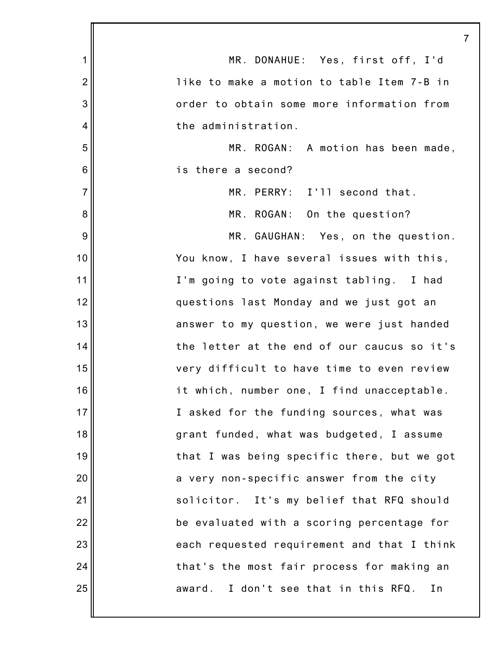| $\mathbf 1$    | MR. DONAHUE: Yes, first off, I'd              |
|----------------|-----------------------------------------------|
| $\overline{2}$ | like to make a motion to table Item 7-B in    |
| 3              | order to obtain some more information from    |
| $\overline{4}$ | the administration.                           |
| 5              | MR. ROGAN: A motion has been made,            |
| $6\,$          | is there a second?                            |
| $\overline{7}$ | MR. PERRY: I'll second that.                  |
| 8              | MR. ROGAN: On the question?                   |
| 9              | MR. GAUGHAN: Yes, on the question.            |
| 10             | You know, I have several issues with this,    |
| 11             | I'm going to vote against tabling. I had      |
| 12             | questions last Monday and we just got an      |
| 13             | answer to my question, we were just handed    |
| 14             | the letter at the end of our caucus so it's   |
| 15             | very difficult to have time to even review    |
| 16             | it which, number one, I find unacceptable.    |
| 17             | I asked for the funding sources, what was     |
| 18             | grant funded, what was budgeted, I assume     |
| 19             | that I was being specific there, but we got   |
| 20             | a very non-specific answer from the city      |
| 21             | solicitor. It's my belief that RFQ should     |
| 22             | be evaluated with a scoring percentage for    |
| 23             | each requested requirement and that I think   |
| 24             | that's the most fair process for making an    |
| 25             | I don't see that in this RFQ.<br>award.<br>In |
|                |                                               |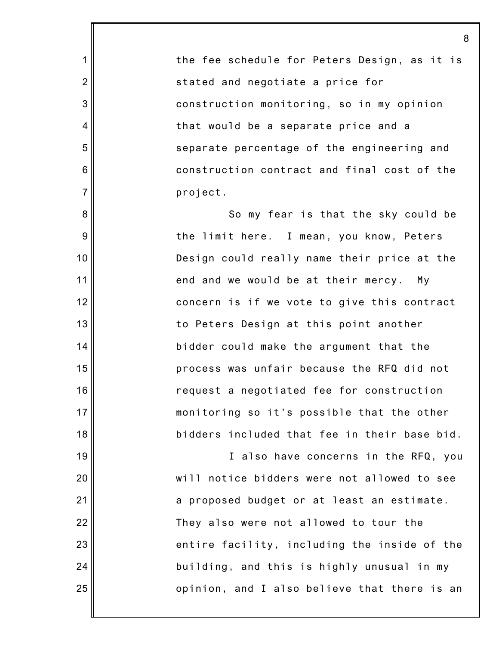the fee schedule for Peters Design, as it is stated and negotiate a price for construction monitoring, so in my opinion that would be a separate price and a separate percentage of the engineering and construction contract and final cost of the project.

1

2

3

4

5

6

7

8

9

10

11

12

13

14

15

16

17

18

19

20

21

22

23

24

25

So my fear is that the sky could be the limit here. I mean, you know, Peters Design could really name their price at the end and we would be at their mercy. My concern is if we vote to give this contract to Peters Design at this point another bidder could make the argument that the process was unfair because the RFQ did not request a negotiated fee for construction monitoring so it's possible that the other bidders included that fee in their base bid.

I also have concerns in the RFQ, you will notice bidders were not allowed to see a proposed budget or at least an estimate. They also were not allowed to tour the entire facility, including the inside of the building, and this is highly unusual in my opinion, and I also believe that there is an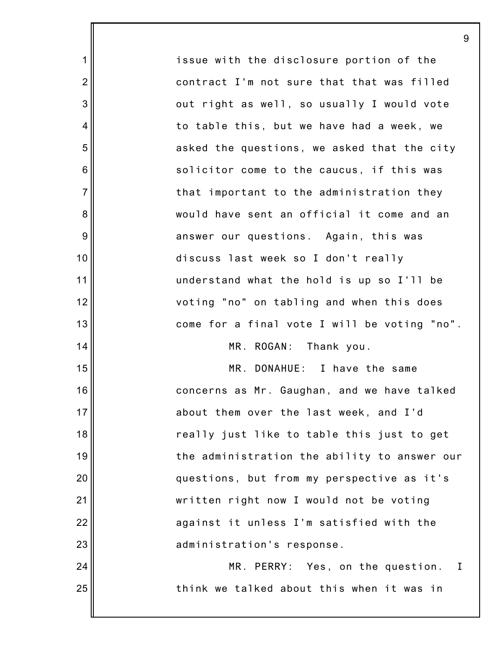issue with the disclosure portion of the contract I'm not sure that that was filled out right as well, so usually I would vote to table this, but we have had a week, we asked the questions, we asked that the city solicitor come to the caucus, if this was that important to the administration they would have sent an official it come and an answer our questions. Again, this was discuss last week so I don't really understand what the hold is up so I'll be voting "no" on tabling and when this does come for a final vote I will be voting "no". MR. ROGAN: Thank you. MR. DONAHUE: I have the same concerns as Mr. Gaughan, and we have talked

9

1

2

3

4

5

6

7

8

9

10

11

12

13

14

15

16

17

18

19

20

21

22

23

24

25

about them over the last week, and I'd really just like to table this just to get the administration the ability to answer our questions, but from my perspective as it's written right now I would not be voting against it unless I'm satisfied with the administration's response.

MR. PERRY: Yes, on the question. I think we talked about this when it was in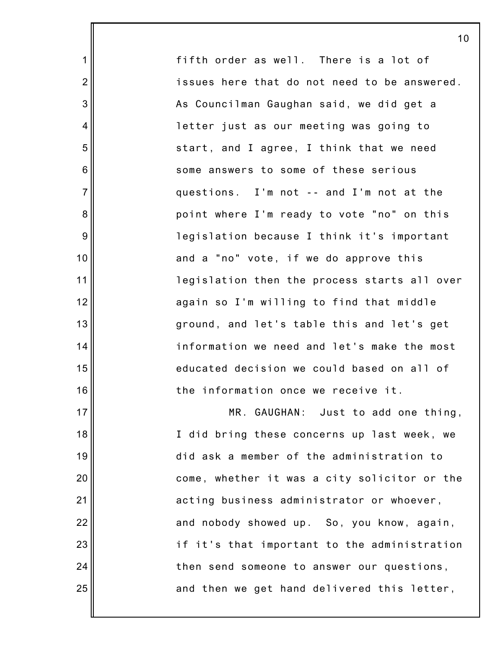fifth order as well. There is a lot of issues here that do not need to be answered. As Councilman Gaughan said, we did get a letter just as our meeting was going to start, and I agree, I think that we need some answers to some of these serious questions. I'm not -- and I'm not at the point where I'm ready to vote "no" on this legislation because I think it's important and a "no" vote, if we do approve this legislation then the process starts all over again so I'm willing to find that middle ground, and let's table this and let's get information we need and let's make the most educated decision we could based on all of the information once we receive it. MR. GAUGHAN: Just to add one thing,

1

2

3

4

5

6

7

8

9

10

11

12

13

14

15

16

17

18

19

20

21

22

23

24

25

I did bring these concerns up last week, we did ask a member of the administration to come, whether it was a city solicitor or the acting business administrator or whoever, and nobody showed up. So, you know, again, if it's that important to the administration then send someone to answer our questions, and then we get hand delivered this letter,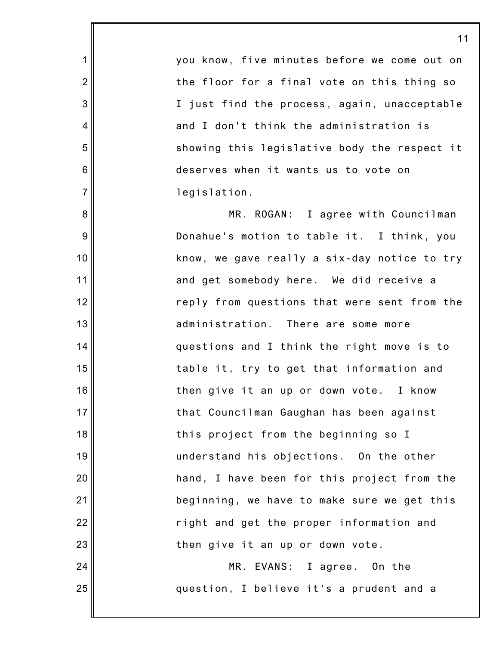you know, five minutes before we come out on the floor for a final vote on this thing so I just find the process, again, unacceptable and I don't think the administration is showing this legislative body the respect it deserves when it wants us to vote on legislation.

1

2

3

4

5

6

7

8

9

10

11

12

13

14

15

16

17

18

19

20

21

22

23

24

25

MR. ROGAN: I agree with Councilman Donahue's motion to table it. I think, you know, we gave really a six-day notice to try and get somebody here. We did receive a reply from questions that were sent from the administration. There are some more questions and I think the right move is to table it, try to get that information and then give it an up or down vote. I know that Councilman Gaughan has been against this project from the beginning so I understand his objections. On the other hand, I have been for this project from the beginning, we have to make sure we get this right and get the proper information and then give it an up or down vote.

MR. EVANS: I agree. On the question, I believe it's a prudent and a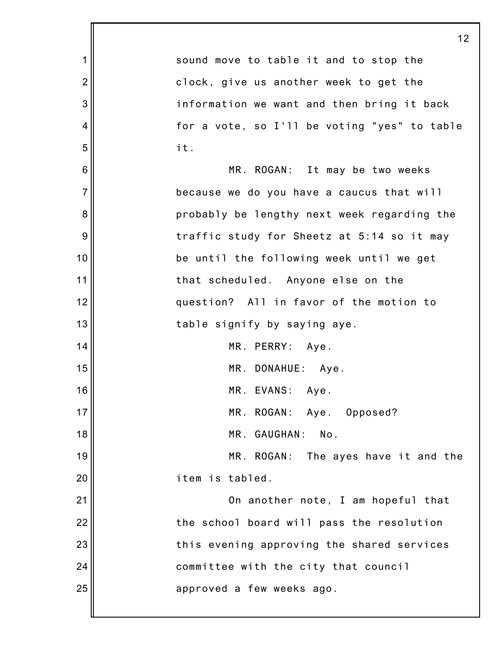|                | 12                                           |
|----------------|----------------------------------------------|
| 1              | sound move to table it and to stop the       |
| $\overline{2}$ | clock, give us another week to get the       |
| 3              | information we want and then bring it back   |
| 4              | for a vote, so I'll be voting "yes" to table |
| 5              | it.                                          |
| 6              | MR. ROGAN: It may be two weeks               |
| $\overline{7}$ | because we do you have a caucus that will    |
| 8              | probably be lengthy next week regarding the  |
| 9              | traffic study for Sheetz at 5:14 so it may   |
| 10             | be until the following week until we get     |
| 11             | that scheduled. Anyone else on the           |
| 12             | question? All in favor of the motion to      |
| 13             | table signify by saying aye.                 |
| 14             | MR. PERRY: Aye.                              |
| 15             | MR. DONAHUE: Aye.                            |
| 16             | MR. EVANS: Aye.                              |
| 17             | MR. ROGAN: Aye. Opposed?                     |
| 18             | MR. GAUGHAN:<br>No.                          |
| 19             | MR. ROGAN:<br>The ayes have it and the       |
| 20             | item is tabled.                              |
| 21             | On another note, I am hopeful that           |
| 22             | the school board will pass the resolution    |
| 23             | this evening approving the shared services   |
| 24             | committee with the city that council         |
| 25             | approved a few weeks ago.                    |
|                |                                              |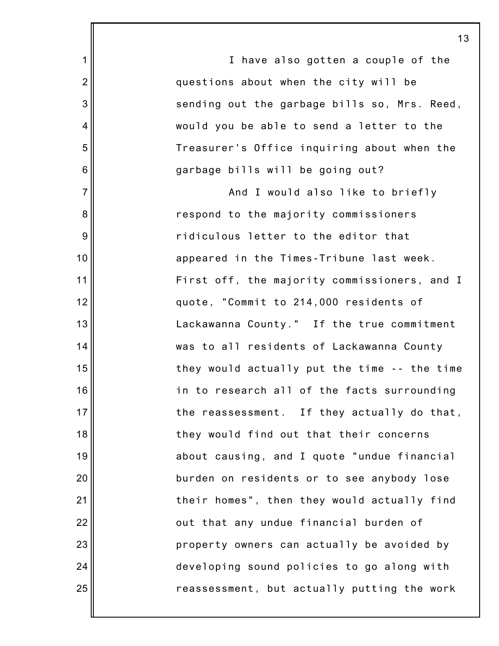I have also gotten a couple of the questions about when the city will be sending out the garbage bills so, Mrs. Reed, would you be able to send a letter to the Treasurer's Office inquiring about when the garbage bills will be going out?

1

2

3

4

5

6

7

8

9

10

11

12

13

14

15

16

17

18

19

20

21

22

23

24

25

And I would also like to briefly respond to the majority commissioners ridiculous letter to the editor that appeared in the Times-Tribune last week. First off, the majority commissioners, and I quote, "Commit to 214,000 residents of Lackawanna County." If the true commitment was to all residents of Lackawanna County they would actually put the time -- the time in to research all of the facts surrounding the reassessment. If they actually do that, they would find out that their concerns about causing, and I quote "undue financial burden on residents or to see anybody lose their homes", then they would actually find out that any undue financial burden of property owners can actually be avoided by developing sound policies to go along with reassessment, but actually putting the work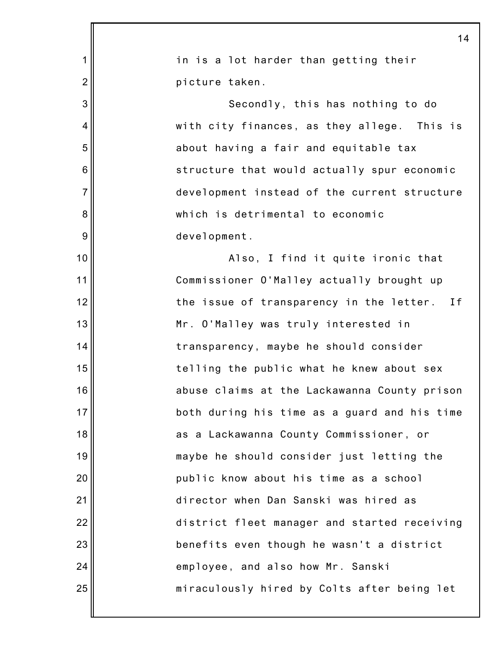|                | 14                                           |
|----------------|----------------------------------------------|
| 1              | in is a lot harder than getting their        |
| $\overline{2}$ | picture taken.                               |
| 3              | Secondly, this has nothing to do             |
| $\overline{4}$ | with city finances, as they allege. This is  |
| 5              | about having a fair and equitable tax        |
| 6              | structure that would actually spur economic  |
| $\overline{7}$ | development instead of the current structure |
| 8              | which is detrimental to economic             |
| 9              | development.                                 |
| 10             | Also, I find it quite ironic that            |
| 11             | Commissioner O'Malley actually brought up    |
| 12             | the issue of transparency in the letter. If  |
| 13             | Mr. O'Malley was truly interested in         |
| 14             | transparency, maybe he should consider       |
| 15             | telling the public what he knew about sex    |
| 16             | abuse claims at the Lackawanna County prison |
| 17             | both during his time as a guard and his time |
| 18             | as a Lackawanna County Commissioner, or      |
| 19             | maybe he should consider just letting the    |
| 20             | public know about his time as a school       |
| 21             | director when Dan Sanski was hired as        |
| 22             | district fleet manager and started receiving |
| 23             | benefits even though he wasn't a district    |
| 24             | employee, and also how Mr. Sanski            |
| 25             | miraculously hired by Colts after being let  |
|                |                                              |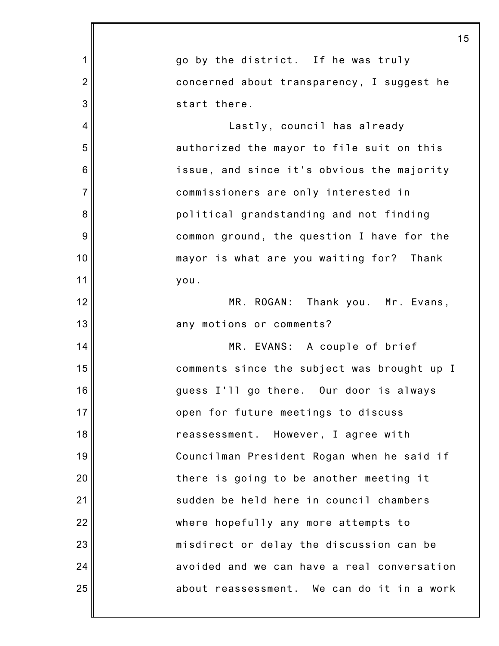|                | 15                                          |
|----------------|---------------------------------------------|
| 1              | go by the district. If he was truly         |
| $\overline{2}$ | concerned about transparency, I suggest he  |
| 3              | start there.                                |
| 4              | Lastly, council has already                 |
| 5              | authorized the mayor to file suit on this   |
| 6              | issue, and since it's obvious the majority  |
| $\overline{7}$ | commissioners are only interested in        |
| 8              | political grandstanding and not finding     |
| 9              | common ground, the question I have for the  |
| 10             | mayor is what are you waiting for? Thank    |
| 11             | you.                                        |
| 12             | MR. ROGAN: Thank you. Mr. Evans,            |
| 13             | any motions or comments?                    |
| 14             | MR. EVANS: A couple of brief                |
| 15             | comments since the subject was brought up I |
| 16             | guess I'll go there. Our door is always     |
| 17             | open for future meetings to discuss         |
| 18             | reassessment. However, I agree with         |
| 19             | Councilman President Rogan when he said if  |
| 20             | there is going to be another meeting it     |
| 21             | sudden be held here in council chambers     |
| 22             | where hopefully any more attempts to        |
| 23             | misdirect or delay the discussion can be    |
| 24             | avoided and we can have a real conversation |
| 25             | about reassessment. We can do it in a work  |
|                |                                             |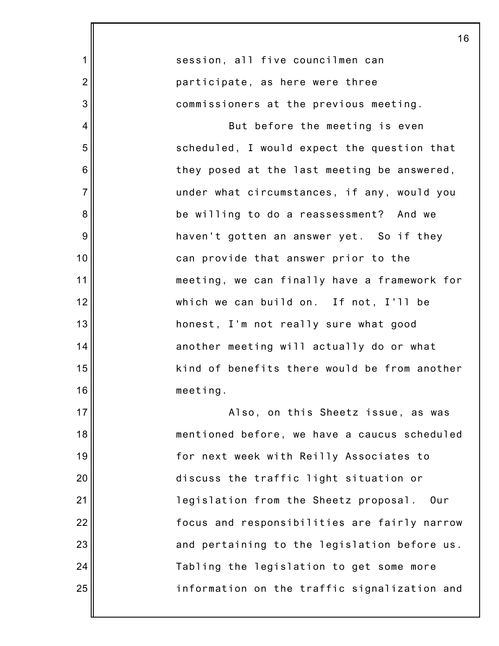|                | 16                                           |
|----------------|----------------------------------------------|
| 1              | session, all five councilmen can             |
| $\overline{2}$ | participate, as here were three              |
| 3              | commissioners at the previous meeting.       |
| 4              | But before the meeting is even               |
| 5              | scheduled, I would expect the question that  |
| 6              | they posed at the last meeting be answered,  |
| $\overline{7}$ | under what circumstances, if any, would you  |
| 8              | be willing to do a reassessment? And we      |
| 9              | haven't gotten an answer yet. So if they     |
| 10             | can provide that answer prior to the         |
| 11             | meeting, we can finally have a framework for |
| 12             | which we can build on. If not, I'll be       |
| 13             | honest, I'm not really sure what good        |
| 14             | another meeting will actually do or what     |
| 15             | kind of benefits there would be from another |
| 16             | meeting.                                     |
| 17             | Also, on this Sheetz issue, as was           |
| 18             | mentioned before, we have a caucus scheduled |
| 19             | for next week with Reilly Associates to      |
| 20             | discuss the traffic light situation or       |
| 21             | legislation from the Sheetz proposal.<br>Our |
| 22             | focus and responsibilities are fairly narrow |
| 23             | and pertaining to the legislation before us. |
| 24             | Tabling the legislation to get some more     |
| 25             | information on the traffic signalization and |
|                |                                              |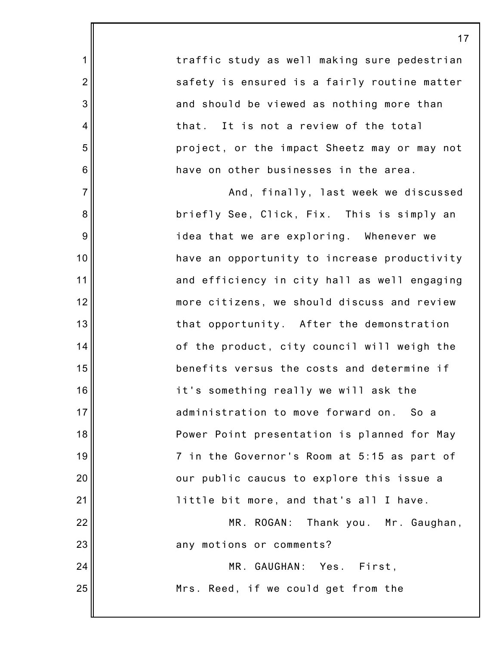traffic study as well making sure pedestrian safety is ensured is a fairly routine matter and should be viewed as nothing more than that. It is not a review of the total project, or the impact Sheetz may or may not have on other businesses in the area.

1

2

3

4

5

6

7

8

9

10

11

12

13

14

15

16

17

18

19

20

21

22

23

24

25

And, finally, last week we discussed briefly See, Click, Fix. This is simply an idea that we are exploring. Whenever we have an opportunity to increase productivity and efficiency in city hall as well engaging more citizens, we should discuss and review that opportunity. After the demonstration of the product, city council will weigh the benefits versus the costs and determine if it's something really we will ask the administration to move forward on. So a Power Point presentation is planned for May 7 in the Governor's Room at 5:15 as part of our public caucus to explore this issue a little bit more, and that's all I have.

MR. ROGAN: Thank you. Mr. Gaughan, any motions or comments?

> MR. GAUGHAN: Yes. First, Mrs. Reed, if we could get from the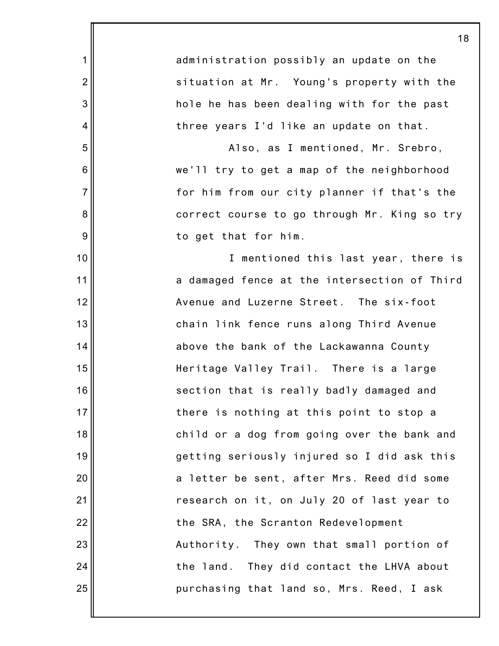|                  | 18                                           |
|------------------|----------------------------------------------|
| 1                | administration possibly an update on the     |
| $\overline{2}$   | situation at Mr. Young's property with the   |
| $\mathbf{3}$     | hole he has been dealing with for the past   |
| 4                | three years I'd like an update on that.      |
| $\mathbf 5$      | Also, as I mentioned, Mr. Srebro,            |
| $\,6$            | we'll try to get a map of the neighborhood   |
| $\overline{7}$   | for him from our city planner if that's the  |
| 8                | correct course to go through Mr. King so try |
| $\boldsymbol{9}$ | to get that for him.                         |
| 10               | I mentioned this last year, there is         |
| 11               | a damaged fence at the intersection of Third |
| 12               | Avenue and Luzerne Street. The six-foot      |
| 13               | chain link fence runs along Third Avenue     |
| 14               | above the bank of the Lackawanna County      |
| 15               | Heritage Valley Trail. There is a large      |
| 16               | section that is really badly damaged and     |
| 17               | there is nothing at this point to stop a     |
| 18               | child or a dog from going over the bank and  |
| 19               | getting seriously injured so I did ask this  |
| 20               | a letter be sent, after Mrs. Reed did some   |
| 21               | research on it, on July 20 of last year to   |
| 22               | the SRA, the Scranton Redevelopment          |
| 23               | Authority. They own that small portion of    |
| 24               | the land. They did contact the LHVA about    |
| 25               | purchasing that land so, Mrs. Reed, I ask    |
|                  |                                              |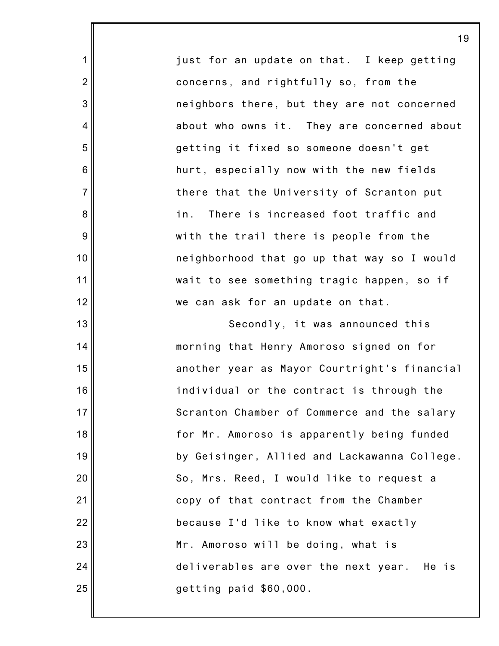just for an update on that. I keep getting concerns, and rightfully so, from the neighbors there, but they are not concerned about who owns it. They are concerned about getting it fixed so someone doesn't get hurt, especially now with the new fields there that the University of Scranton put in. There is increased foot traffic and with the trail there is people from the neighborhood that go up that way so I would wait to see something tragic happen, so if we can ask for an update on that.

1

2

3

4

5

6

7

8

9

10

11

12

13

14

15

16

17

18

19

20

21

22

23

24

25

Secondly, it was announced this morning that Henry Amoroso signed on for another year as Mayor Courtright's financial individual or the contract is through the Scranton Chamber of Commerce and the salary for Mr. Amoroso is apparently being funded by Geisinger, Allied and Lackawanna College. So, Mrs. Reed, I would like to request a copy of that contract from the Chamber because I'd like to know what exactly Mr. Amoroso will be doing, what is deliverables are over the next year. He is getting paid \$60,000.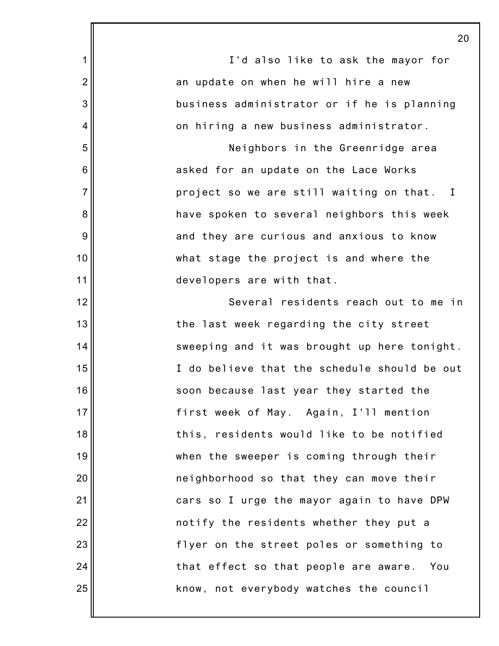|                | 2 <sub>0</sub>                               |
|----------------|----------------------------------------------|
| 1              | I'd also like to ask the mayor for           |
| $\overline{2}$ | an update on when he will hire a new         |
| 3              | business administrator or if he is planning  |
| 4              | on hiring a new business administrator.      |
| 5              | Neighbors in the Greenridge area             |
| 6              | asked for an update on the Lace Works        |
| $\overline{7}$ | project so we are still waiting on that. I   |
| 8              | have spoken to several neighbors this week   |
| 9              | and they are curious and anxious to know     |
| 10             | what stage the project is and where the      |
| 11             | developers are with that.                    |
| 12             | Several residents reach out to me in         |
| 13             | the last week regarding the city street      |
| 14             | sweeping and it was brought up here tonight. |
| 15             | I do believe that the schedule should be out |
| 16             | soon because last year they started the      |
| 17             | first week of May. Again, I'll mention       |
| 18             | this, residents would like to be notified    |
| 19             | when the sweeper is coming through their     |
| 20             | neighborhood so that they can move their     |
| 21             | cars so I urge the mayor again to have DPW   |
| 22             | notify the residents whether they put a      |
| 23             | flyer on the street poles or something to    |
| 24             | that effect so that people are aware. You    |
| 25             | know, not everybody watches the council      |
|                |                                              |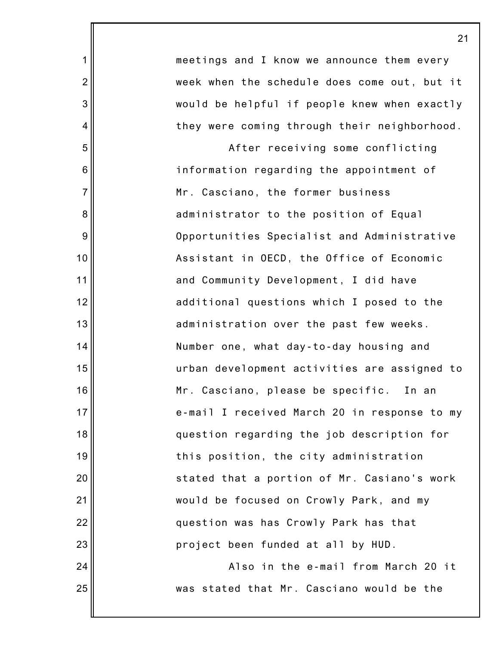| meetings and I know we announce them every   |
|----------------------------------------------|
| week when the schedule does come out, but it |
| would be helpful if people knew when exactly |
| they were coming through their neighborhood. |
| After receiving some conflicting             |
| information regarding the appointment of     |
| Mr. Casciano, the former business            |
| administrator to the position of Equal       |
| Opportunities Specialist and Administrative  |
| Assistant in OECD, the Office of Economic    |
| and Community Development, I did have        |
| additional questions which I posed to the    |
| administration over the past few weeks.      |
| Number one, what day-to-day housing and      |
| urban development activities are assigned to |
| Mr. Casciano, please be specific. In an      |
| e-mail I received March 20 in response to my |
| question regarding the job description for   |
| this position, the city administration       |
| stated that a portion of Mr. Casiano's work  |
| would be focused on Crowly Park, and my      |
| question was has Crowly Park has that        |
| project been funded at all by HUD.           |
| Also in the e-mail from March 20 it          |

was stated that Mr. Casciano would be the

1

2

3

4

5

6

7

8

9

10

11

12

13

14

15

16

17

18

19

20

21

22

23

24

25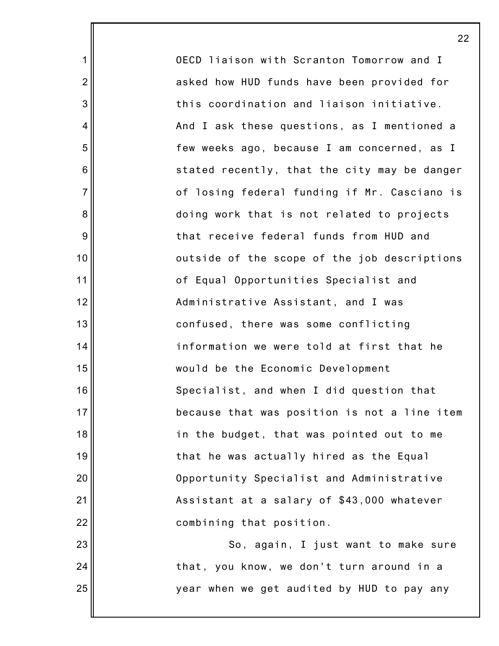OECD liaison with Scranton Tomorrow and I asked how HUD funds have been provided for this coordination and liaison initiative. And I ask these questions, as I mentioned a few weeks ago, because I am concerned, as I stated recently, that the city may be danger of losing federal funding if Mr. Casciano is doing work that is not related to projects that receive federal funds from HUD and outside of the scope of the job descriptions of Equal Opportunities Specialist and Administrative Assistant, and I was confused, there was some conflicting information we were told at first that he would be the Economic Development Specialist, and when I did question that because that was position is not a line item in the budget, that was pointed out to me that he was actually hired as the Equal Opportunity Specialist and Administrative Assistant at a salary of \$43,000 whatever combining that position. So, again, I just want to make sure

that, you know, we don't turn around in a

year when we get audited by HUD to pay any

1

2

3

4

5

6

7

8

9

10

11

12

13

14

15

16

17

18

19

20

21

22

23

24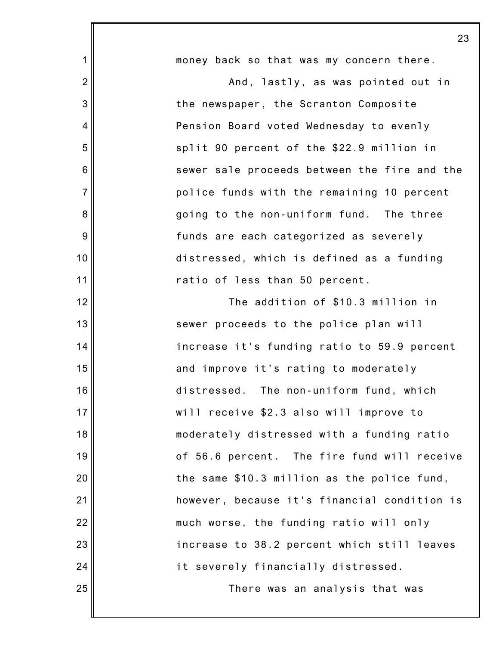| money back so that was my concern there.     |
|----------------------------------------------|
| And, lastly, as was pointed out in           |
| the newspaper, the Scranton Composite        |
| Pension Board voted Wednesday to evenly      |
| split 90 percent of the \$22.9 million in    |
| sewer sale proceeds between the fire and the |
| police funds with the remaining 10 percent   |
| going to the non-uniform fund. The three     |
| funds are each categorized as severely       |
| distressed, which is defined as a funding    |
| ratio of less than 50 percent.               |
| The addition of \$10.3 million in            |
| sewer proceeds to the police plan will       |
| increase it's funding ratio to 59.9 percent  |
| and improve it's rating to moderately        |
| distressed. The non-uniform fund, which      |
| will receive \$2.3 also will improve to      |
| moderately distressed with a funding ratio   |
| of 56.6 percent. The fire fund will receive  |
| the same \$10.3 million as the police fund,  |
| however, because it's financial condition is |
| much worse, the funding ratio will only      |
| increase to 38.2 percent which still leaves  |
| it severely financially distressed.          |
| There was an analysis that was               |
|                                              |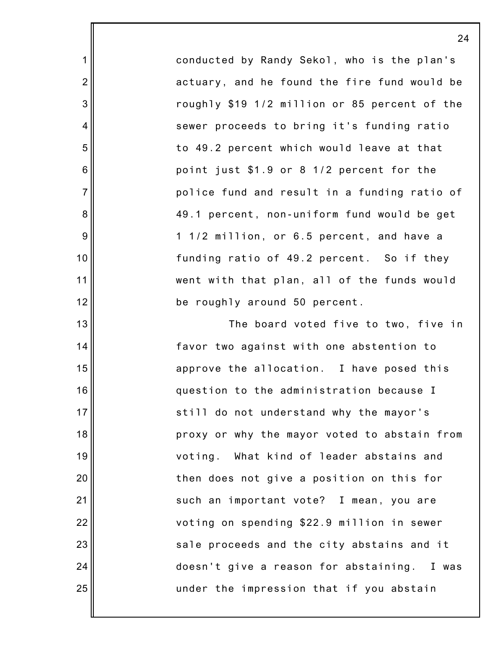conducted by Randy Sekol, who is the plan's actuary, and he found the fire fund would be roughly \$19 1/2 million or 85 percent of the sewer proceeds to bring it's funding ratio to 49.2 percent which would leave at that point just \$1.9 or 8 1/2 percent for the police fund and result in a funding ratio of 49.1 percent, non-uniform fund would be get 1 1/2 million, or 6.5 percent, and have a funding ratio of 49.2 percent. So if they went with that plan, all of the funds would be roughly around 50 percent.

1

2

3

4

5

6

7

8

9

10

11

12

13

14

15

16

17

18

19

20

21

22

23

24

25

The board voted five to two, five in favor two against with one abstention to approve the allocation. I have posed this question to the administration because I still do not understand why the mayor's proxy or why the mayor voted to abstain from voting. What kind of leader abstains and then does not give a position on this for such an important vote? I mean, you are voting on spending \$22.9 million in sewer sale proceeds and the city abstains and it doesn't give a reason for abstaining. I was under the impression that if you abstain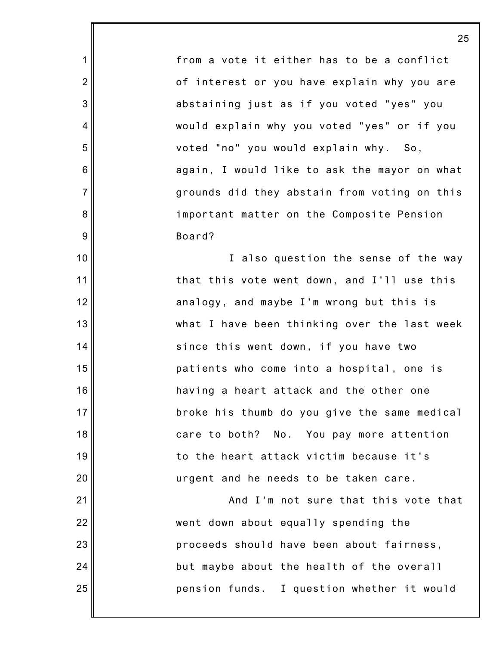from a vote it either has to be a conflict of interest or you have explain why you are abstaining just as if you voted "yes" you would explain why you voted "yes" or if you voted "no" you would explain why. So, again, I would like to ask the mayor on what grounds did they abstain from voting on this important matter on the Composite Pension Board?

1

2

3

4

5

6

7

8

9

10

11

12

13

14

15

16

17

18

19

20

21

22

23

24

25

I also question the sense of the way that this vote went down, and I'll use this analogy, and maybe I'm wrong but this is what I have been thinking over the last week since this went down, if you have two patients who come into a hospital, one is having a heart attack and the other one broke his thumb do you give the same medical care to both? No. You pay more attention to the heart attack victim because it's urgent and he needs to be taken care.

And I'm not sure that this vote that went down about equally spending the proceeds should have been about fairness, but maybe about the health of the overall pension funds. I question whether it would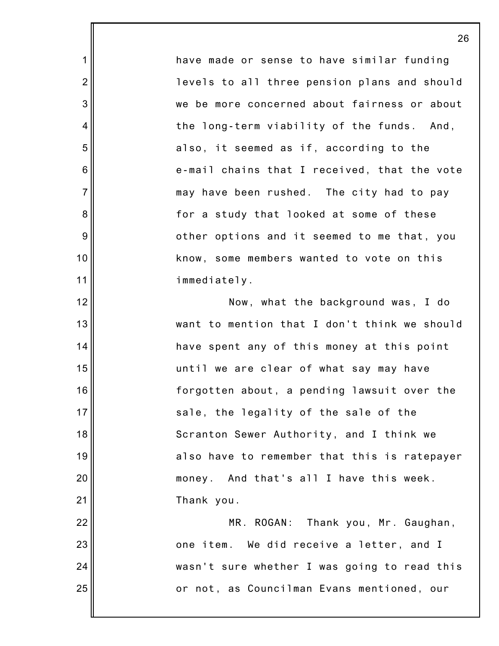have made or sense to have similar funding levels to all three pension plans and should we be more concerned about fairness or about the long-term viability of the funds. And, also, it seemed as if, according to the e-mail chains that I received, that the vote may have been rushed. The city had to pay for a study that looked at some of these other options and it seemed to me that, you know, some members wanted to vote on this immediately.

1

2

3

4

5

6

7

8

9

10

11

12

13

14

15

16

17

18

19

20

21

Now, what the background was, I do want to mention that I don't think we should have spent any of this money at this point until we are clear of what say may have forgotten about, a pending lawsuit over the sale, the legality of the sale of the Scranton Sewer Authority, and I think we also have to remember that this is ratepayer money. And that's all I have this week. Thank you.

22 23 24 25 MR. ROGAN: Thank you, Mr. Gaughan, one item. We did receive a letter, and I wasn't sure whether I was going to read this or not, as Councilman Evans mentioned, our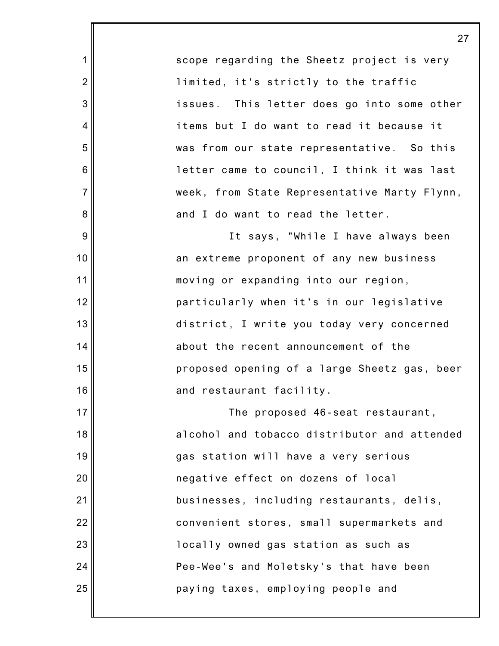scope regarding the Sheetz project is very limited, it's strictly to the traffic issues. This letter does go into some other items but I do want to read it because it was from our state representative. So this letter came to council, I think it was last week, from State Representative Marty Flynn, and I do want to read the letter.

1

2

3

4

5

6

7

8

9

10

11

12

13

14

15

16

17

18

19

20

21

22

23

24

25

It says, "While I have always been an extreme proponent of any new business moving or expanding into our region, particularly when it's in our legislative district, I write you today very concerned about the recent announcement of the proposed opening of a large Sheetz gas, beer and restaurant facility.

The proposed 46-seat restaurant, alcohol and tobacco distributor and attended gas station will have a very serious negative effect on dozens of local businesses, including restaurants, delis, convenient stores, small supermarkets and locally owned gas station as such as Pee-Wee's and Moletsky's that have been paying taxes, employing people and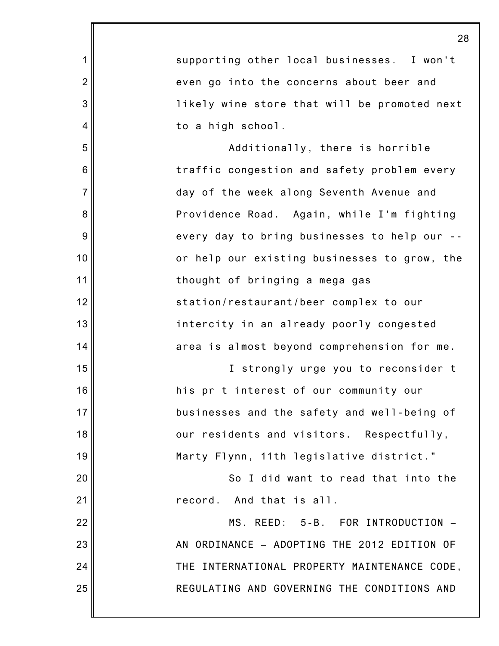|                | 28                                           |
|----------------|----------------------------------------------|
| 1              | supporting other local businesses. I won't   |
| $\overline{2}$ | even go into the concerns about beer and     |
| 3              | likely wine store that will be promoted next |
| 4              | to a high school.                            |
| 5              | Additionally, there is horrible              |
| 6              | traffic congestion and safety problem every  |
| $\overline{7}$ | day of the week along Seventh Avenue and     |
| 8              | Providence Road. Again, while I'm fighting   |
| 9              | every day to bring businesses to help our -- |
| 10             | or help our existing businesses to grow, the |
| 11             | thought of bringing a mega gas               |
| 12             | station/restaurant/beer complex to our       |
| 13             | intercity in an already poorly congested     |
| 14             | area is almost beyond comprehension for me.  |
| 15             | I strongly urge you to reconsider t          |
| 16             | his pr t interest of our community our       |
| 17             | businesses and the safety and well-being of  |
| 18             | our residents and visitors. Respectfully,    |
| 19             | Marty Flynn, 11th legislative district."     |
| 20             | So I did want to read that into the          |
| 21             | record. And that is all.                     |
| 22             | MS. REED: 5-B. FOR INTRODUCTION -            |
| 23             | AN ORDINANCE - ADOPTING THE 2012 EDITION OF  |
| 24             | THE INTERNATIONAL PROPERTY MAINTENANCE CODE, |
| 25             | REGULATING AND GOVERNING THE CONDITIONS AND  |
|                |                                              |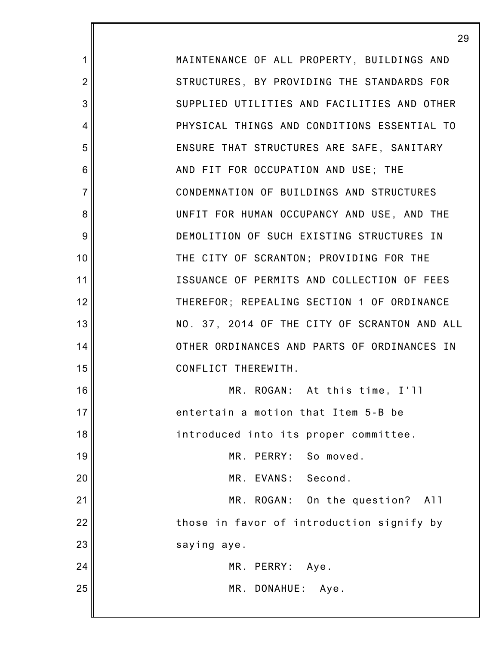MAINTENANCE OF ALL PROPERTY, BUILDINGS AND STRUCTURES, BY PROVIDING THE STANDARDS FOR SUPPLIED UTILITIES AND FACILITIES AND OTHER PHYSICAL THINGS AND CONDITIONS ESSENTIAL TO ENSURE THAT STRUCTURES ARE SAFE, SANITARY AND FIT FOR OCCUPATION AND USE; THE CONDEMNATION OF BUILDINGS AND STRUCTURES UNFIT FOR HUMAN OCCUPANCY AND USE, AND THE DEMOLITION OF SUCH EXISTING STRUCTURES IN THE CITY OF SCRANTON; PROVIDING FOR THE ISSUANCE OF PERMITS AND COLLECTION OF FEES THEREFOR; REPEALING SECTION 1 OF ORDINANCE NO. 37, 2014 OF THE CITY OF SCRANTON AND ALL OTHER ORDINANCES AND PARTS OF ORDINANCES IN CONFLICT THEREWITH.

16 17 18 19 20 21 22 23 24 MR. ROGAN: At this time, I'll entertain a motion that Item 5-B be introduced into its proper committee. MR. PERRY: So moved. MR. EVANS: Second. MR. ROGAN: On the question? All those in favor of introduction signify by saying aye.

1

2

3

4

5

6

7

8

9

10

11

12

13

14

15

25

MR. PERRY: Aye.

MR. DONAHUE: Aye.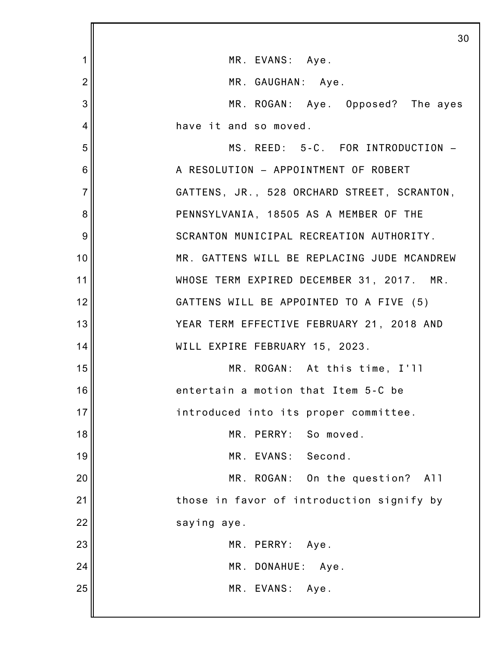|                | 30                                          |
|----------------|---------------------------------------------|
| 1              | MR. EVANS: Aye.                             |
| $\overline{2}$ | MR. GAUGHAN: Aye.                           |
| 3              | MR. ROGAN: Aye. Opposed? The ayes           |
| $\overline{4}$ | have it and so moved.                       |
| 5              | MS. REED: 5-C. FOR INTRODUCTION -           |
| 6              | A RESOLUTION - APPOINTMENT OF ROBERT        |
| $\overline{7}$ | GATTENS, JR., 528 ORCHARD STREET, SCRANTON, |
| 8              | PENNSYLVANIA, 18505 AS A MEMBER OF THE      |
| 9              | SCRANTON MUNICIPAL RECREATION AUTHORITY.    |
| 10             | MR. GATTENS WILL BE REPLACING JUDE MCANDREW |
| 11             | WHOSE TERM EXPIRED DECEMBER 31, 2017. MR.   |
| 12             | GATTENS WILL BE APPOINTED TO A FIVE (5)     |
| 13             | YEAR TERM EFFECTIVE FEBRUARY 21, 2018 AND   |
| 14             | WILL EXPIRE FEBRUARY 15, 2023.              |
| 15             | MR. ROGAN: At this time, I'll               |
| 16             | entertain a motion that Item 5-C be         |
| 17             | introduced into its proper committee.       |
| 18             | MR. PERRY: So moved.                        |
| 19             | MR. EVANS:<br>Second.                       |
| 20             | MR. ROGAN: On the question? All             |
| 21             | those in favor of introduction signify by   |
| 22             | saying aye.                                 |
| 23             | MR. PERRY:<br>Aye.                          |
| 24             | MR. DONAHUE: Aye.                           |
| 25             | MR. EVANS:<br>Aye.                          |
|                |                                             |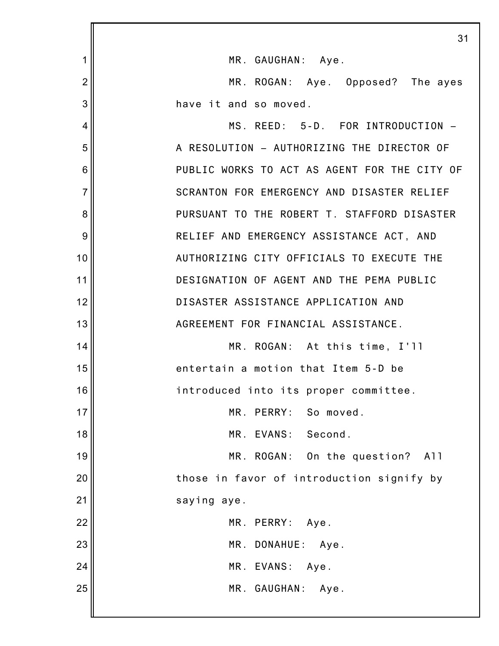|                | 31                                           |
|----------------|----------------------------------------------|
| 1              | MR. GAUGHAN: Aye.                            |
| $\overline{2}$ | MR. ROGAN: Aye. Opposed? The ayes            |
| 3              | have it and so moved.                        |
| 4              | MS. REED: 5-D. FOR INTRODUCTION -            |
| 5              | A RESOLUTION - AUTHORIZING THE DIRECTOR OF   |
| 6              | PUBLIC WORKS TO ACT AS AGENT FOR THE CITY OF |
| $\overline{7}$ | SCRANTON FOR EMERGENCY AND DISASTER RELIEF   |
| 8              | PURSUANT TO THE ROBERT T. STAFFORD DISASTER  |
| 9              | RELIEF AND EMERGENCY ASSISTANCE ACT, AND     |
| 10             | AUTHORIZING CITY OFFICIALS TO EXECUTE THE    |
| 11             | DESIGNATION OF AGENT AND THE PEMA PUBLIC     |
| 12             | DISASTER ASSISTANCE APPLICATION AND          |
| 13             | AGREEMENT FOR FINANCIAL ASSISTANCE.          |
| 14             | MR. ROGAN: At this time, I'll                |
| 15             | entertain a motion that Item 5-D be          |
| 16             | introduced into its proper committee.        |
| 17             | MR. PERRY: So moved.                         |
| 18             | MR. EVANS: Second.                           |
| 19             | MR. ROGAN: On the question?<br>A11           |
| 20             | those in favor of introduction signify by    |
| 21             | saying aye.                                  |
| 22             | MR. PERRY: Aye.                              |
| 23             | MR. DONAHUE: Aye.                            |
| 24             | MR. EVANS:<br>Aye.                           |
| 25             | MR. GAUGHAN: Aye.                            |
|                |                                              |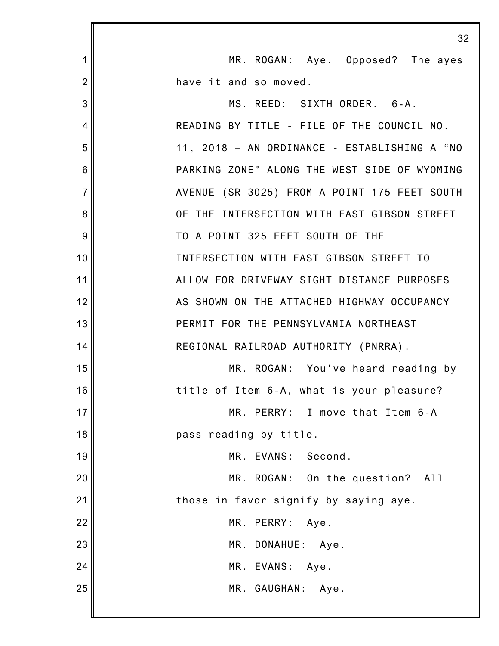|                | 32                                           |
|----------------|----------------------------------------------|
| 1              | MR. ROGAN: Aye. Opposed? The ayes            |
| $\overline{2}$ | have it and so moved.                        |
| 3              | MS. REED: SIXTH ORDER. 6-A.                  |
| 4              | READING BY TITLE - FILE OF THE COUNCIL NO.   |
| 5              | 11, 2018 - AN ORDINANCE - ESTABLISHING A "NO |
| 6              | PARKING ZONE" ALONG THE WEST SIDE OF WYOMING |
| $\overline{7}$ | AVENUE (SR 3025) FROM A POINT 175 FEET SOUTH |
| 8              | OF THE INTERSECTION WITH EAST GIBSON STREET  |
| 9              | TO A POINT 325 FEET SOUTH OF THE             |
| 10             | INTERSECTION WITH EAST GIBSON STREET TO      |
| 11             | ALLOW FOR DRIVEWAY SIGHT DISTANCE PURPOSES   |
| 12             | AS SHOWN ON THE ATTACHED HIGHWAY OCCUPANCY   |
| 13             | PERMIT FOR THE PENNSYLVANIA NORTHEAST        |
| 14             | REGIONAL RAILROAD AUTHORITY (PNRRA).         |
| 15             | MR. ROGAN: You've heard reading by           |
| 16             | title of Item 6-A, what is your pleasure?    |
| 17             | MR. PERRY: I move that Item 6-A              |
| 18             | pass reading by title.                       |
| 19             | MR. EVANS: Second.                           |
| 20             | MR. ROGAN: On the question? All              |
| 21             | those in favor signify by saying aye.        |
| 22             | MR. PERRY: Aye.                              |
| 23             | MR. DONAHUE: Aye.                            |
| 24             | MR. EVANS:<br>Aye.                           |
| 25             | MR. GAUGHAN: Aye.                            |
|                |                                              |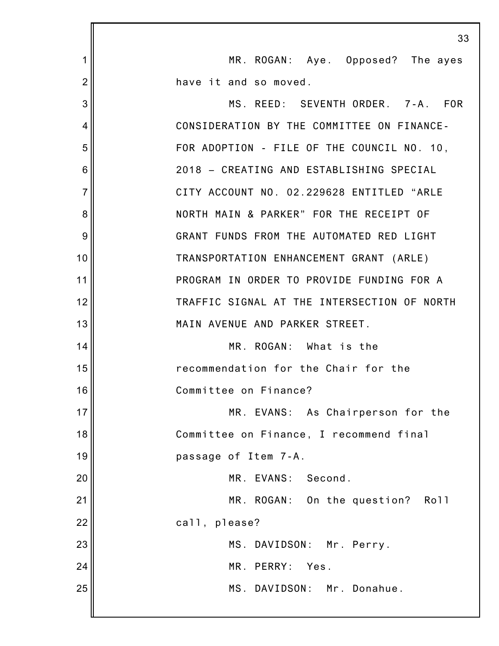|                | 33                                          |
|----------------|---------------------------------------------|
| 1              | MR. ROGAN: Aye. Opposed? The ayes           |
| $\overline{2}$ | have it and so moved.                       |
| 3              | MS. REED: SEVENTH ORDER. 7-A. FOR           |
| 4              | CONSIDERATION BY THE COMMITTEE ON FINANCE-  |
| 5              | FOR ADOPTION - FILE OF THE COUNCIL NO. 10,  |
| 6              | 2018 - CREATING AND ESTABLISHING SPECIAL    |
| $\overline{7}$ | CITY ACCOUNT NO. 02.229628 ENTITLED "ARLE   |
| 8              | NORTH MAIN & PARKER" FOR THE RECEIPT OF     |
| 9              | GRANT FUNDS FROM THE AUTOMATED RED LIGHT    |
| 10             | TRANSPORTATION ENHANCEMENT GRANT (ARLE)     |
| 11             | PROGRAM IN ORDER TO PROVIDE FUNDING FOR A   |
| 12             | TRAFFIC SIGNAL AT THE INTERSECTION OF NORTH |
| 13             | MAIN AVENUE AND PARKER STREET.              |
| 14             | MR. ROGAN: What is the                      |
| 15             | recommendation for the Chair for the        |
| 16             | Committee on Finance?                       |
| 17             | MR. EVANS: As Chairperson for the           |
| 18             | Committee on Finance, I recommend final     |
| 19             | passage of Item 7-A.                        |
| 20             | MR. EVANS: Second.                          |
| 21             | MR. ROGAN: On the question? Roll            |
| 22             | call, please?                               |
| 23             | MS. DAVIDSON: Mr. Perry.                    |
| 24             | MR. PERRY:<br>Yes.                          |
| 25             | MS. DAVIDSON: Mr. Donahue.                  |
|                |                                             |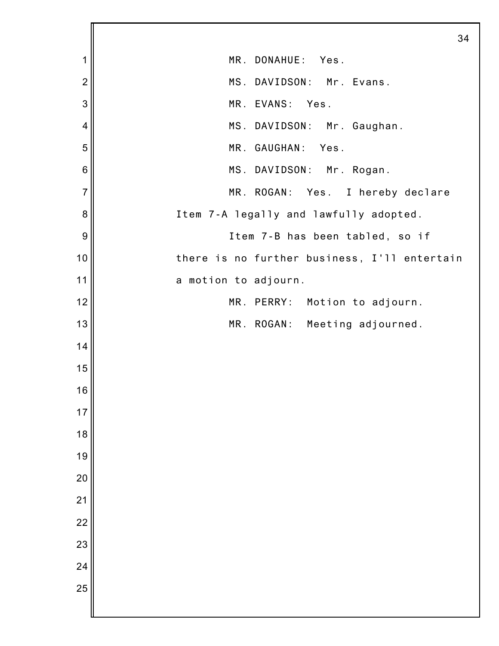|                | 34                                           |
|----------------|----------------------------------------------|
| 1              | MR. DONAHUE:<br>Yes.                         |
| $\overline{2}$ | MS. DAVIDSON: Mr. Evans.                     |
| 3              | MR. EVANS: Yes.                              |
| $\overline{4}$ | MS. DAVIDSON: Mr. Gaughan.                   |
| 5              | MR. GAUGHAN:<br>Yes.                         |
| 6              | MS. DAVIDSON: Mr. Rogan.                     |
| $\overline{7}$ | MR. ROGAN: Yes. I hereby declare             |
| 8              | Item 7-A legally and lawfully adopted.       |
| 9              | Item 7-B has been tabled, so if              |
| 10             | there is no further business, I'll entertain |
| 11             | a motion to adjourn.                         |
| 12             | MR. PERRY: Motion to adjourn.                |
| 13             | MR. ROGAN: Meeting adjourned.                |
| 14             |                                              |
| 15             |                                              |
| 16             |                                              |
| 17             |                                              |
| 18             |                                              |
| 19             |                                              |
| 20             |                                              |
| 21             |                                              |
| 22             |                                              |
| 23             |                                              |
| 24             |                                              |
| 25             |                                              |
|                |                                              |